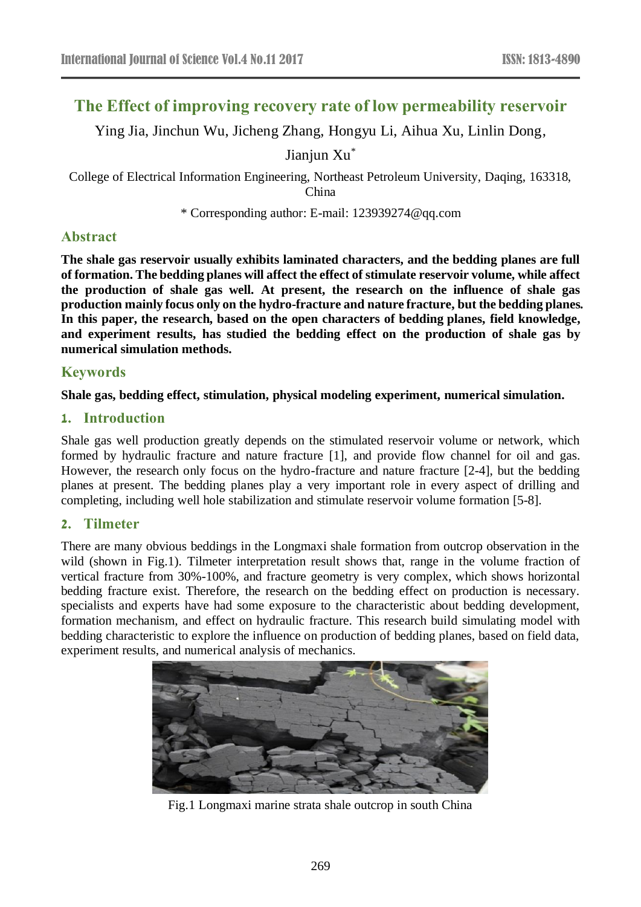# **The Effect of improving recovery rate of low permeability reservoir**

Ying Jia, Jinchun Wu, Jicheng Zhang, Hongyu Li, Aihua Xu, Linlin Dong,

Jianjun Xu\*

College of Electrical Information Engineering, Northeast Petroleum University, Daqing, 163318, China

\* Corresponding author: E-mail: 123939274@qq.com

# **Abstract**

**The shale gas reservoir usually exhibits laminated characters, and the bedding planes are full of formation. The bedding planes will affect the effect of stimulate reservoir volume, while affect the production of shale gas well. At present, the research on the influence of shale gas production mainly focus only on the hydro-fracture and nature fracture, but the bedding planes. In this paper, the research, based on the open characters of bedding planes, field knowledge, and experiment results, has studied the bedding effect on the production of shale gas by numerical simulation methods.**

## **Keywords**

### **Shale gas, bedding effect, stimulation, physical modeling experiment, numerical simulation.**

### **1. Introduction**

Shale gas well production greatly depends on the stimulated reservoir volume or network, which formed by hydraulic fracture and nature fracture [1], and provide flow channel for oil and gas. However, the research only focus on the hydro-fracture and nature fracture [2-4], but the bedding planes at present. The bedding planes play a very important role in every aspect of drilling and completing, including well hole stabilization and stimulate reservoir volume formation [5-8].

### **2. Tilmeter**

There are many obvious beddings in the Longmaxi shale formation from outcrop observation in the wild (shown in Fig.1). Tilmeter interpretation result shows that, range in the volume fraction of vertical fracture from 30%-100%, and fracture geometry is very complex, which shows horizontal bedding fracture exist. Therefore, the research on the bedding effect on production is necessary. specialists and experts have had some exposure to the characteristic about bedding development, formation mechanism, and effect on hydraulic fracture. This research build simulating model with bedding characteristic to explore the influence on production of bedding planes, based on field data, experiment results, and numerical analysis of mechanics.



Fig.1 Longmaxi marine strata shale outcrop in south China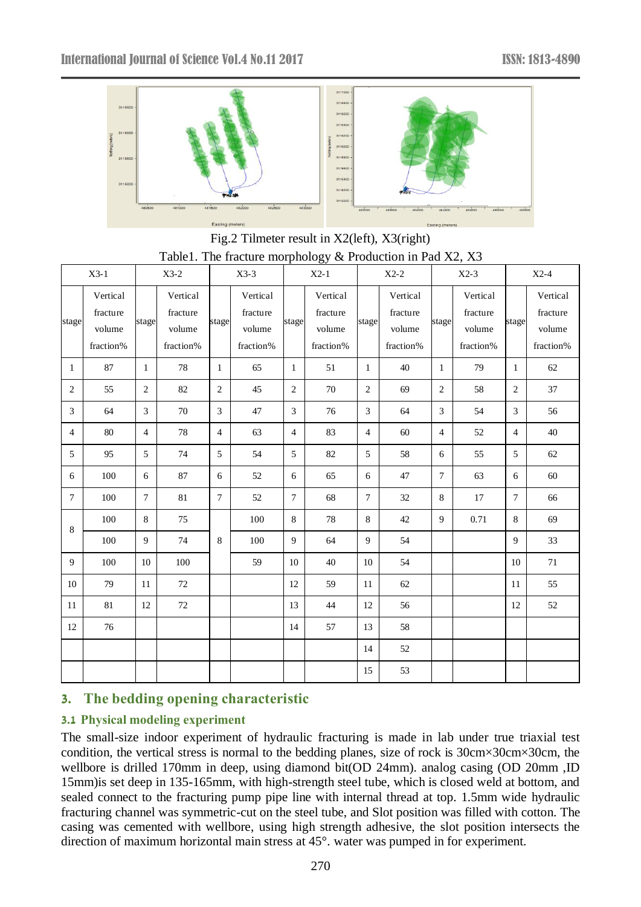

Fig.2 Tilmeter result in X2(left), X3(right) Table1. The fracture morphology & Production in Pad X2, X3

| $X3-1$         |                                             | $X3-2$         |                                             | $X3-3$         |                                             | $X2-1$         |                                             | $X2-2$         |                                             | $X2-3$         |                                             | $X2-4$         |                                             |
|----------------|---------------------------------------------|----------------|---------------------------------------------|----------------|---------------------------------------------|----------------|---------------------------------------------|----------------|---------------------------------------------|----------------|---------------------------------------------|----------------|---------------------------------------------|
| stage          | Vertical<br>fracture<br>volume<br>fraction% | stage          | Vertical<br>fracture<br>volume<br>fraction% | stage          | Vertical<br>fracture<br>volume<br>fraction% | stage          | Vertical<br>fracture<br>volume<br>fraction% | stage          | Vertical<br>fracture<br>volume<br>fraction% | stage          | Vertical<br>fracture<br>volume<br>fraction% | stage          | Vertical<br>fracture<br>volume<br>fraction% |
| $\mathbf{1}$   | 87                                          | $\mathbf{1}$   | 78                                          | $\mathbf{1}$   | 65                                          | $\mathbf{1}$   | 51                                          | $\mathbf{1}$   | 40                                          | $\mathbf{1}$   | 79                                          | 1              | 62                                          |
| $\overline{2}$ | 55                                          | $\overline{c}$ | 82                                          | $\sqrt{2}$     | 45                                          | 2              | 70                                          | $\sqrt{2}$     | 69                                          | $\sqrt{2}$     | 58                                          | $\overline{2}$ | 37                                          |
| 3              | 64                                          | 3              | 70                                          | $\overline{3}$ | 47                                          | 3              | 76                                          | 3              | 64                                          | 3              | 54                                          | 3              | 56                                          |
| 4              | 80                                          | $\overline{4}$ | 78                                          | $\overline{4}$ | 63                                          | $\overline{4}$ | 83                                          | $\overline{4}$ | 60                                          | $\overline{4}$ | 52                                          | $\overline{4}$ | 40                                          |
| 5              | 95                                          | 5              | 74                                          | 5              | 54                                          | 5              | 82                                          | 5              | 58                                          | 6              | 55                                          | 5              | 62                                          |
| 6              | 100                                         | 6              | 87                                          | 6              | 52                                          | 6              | 65                                          | 6              | 47                                          | $\overline{7}$ | 63                                          | 6              | 60                                          |
| 7              | 100                                         | $\overline{7}$ | 81                                          | $\tau$         | 52                                          | $\tau$         | 68                                          | $\tau$         | 32                                          | 8              | 17                                          | $\tau$         | 66                                          |
| 8              | 100                                         | 8              | 75                                          |                | 100                                         | 8              | 78                                          | $\,8\,$        | 42                                          | 9              | 0.71                                        | $\,8\,$        | 69                                          |
|                | 100                                         | 9              | 74                                          | 8              | 100                                         | 9              | 64                                          | 9              | 54                                          |                |                                             | 9              | 33                                          |
| 9              | 100                                         | 10             | 100                                         |                | 59                                          | 10             | 40                                          | 10             | 54                                          |                |                                             | 10             | 71                                          |
| 10             | 79                                          | 11             | 72                                          |                |                                             | 12             | 59                                          | 11             | 62                                          |                |                                             | 11             | 55                                          |
| 11             | 81                                          | 12             | 72                                          |                |                                             | 13             | 44                                          | 12             | 56                                          |                |                                             | 12             | 52                                          |
| 12             | 76                                          |                |                                             |                |                                             | 14             | 57                                          | 13             | 58                                          |                |                                             |                |                                             |
|                |                                             |                |                                             |                |                                             |                |                                             | 14             | 52                                          |                |                                             |                |                                             |
|                |                                             |                |                                             |                |                                             |                |                                             | 15             | 53                                          |                |                                             |                |                                             |

# **3. The bedding opening characteristic**

# **3.1 Physical modeling experiment**

The small-size indoor experiment of hydraulic fracturing is made in lab under true triaxial test condition, the vertical stress is normal to the bedding planes, size of rock is 30cm×30cm×30cm, the wellbore is drilled 170mm in deep, using diamond bit(OD 24mm). analog casing (OD 20mm ,ID 15mm)is set deep in 135-165mm, with high-strength steel tube, which is closed weld at bottom, and sealed connect to the fracturing pump pipe line with internal thread at top. 1.5mm wide hydraulic fracturing channel was symmetric-cut on the steel tube, and Slot position was filled with cotton. The casing was cemented with wellbore, using high strength adhesive, the slot position intersects the direction of maximum horizontal main stress at 45°. water was pumped in for experiment.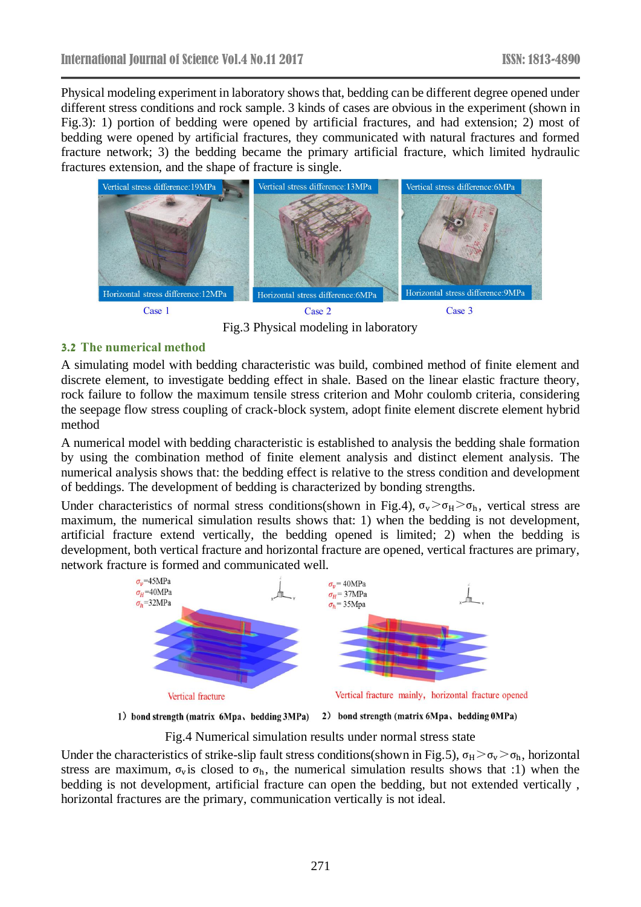Physical modeling experiment in laboratory shows that, bedding can be different degree opened under different stress conditions and rock sample. 3 kinds of cases are obvious in the experiment (shown in Fig.3): 1) portion of bedding were opened by artificial fractures, and had extension; 2) most of bedding were opened by artificial fractures, they communicated with natural fractures and formed fracture network; 3) the bedding became the primary artificial fracture, which limited hydraulic fractures extension, and the shape of fracture is single.



Fig.3 Physical modeling in laboratory

#### **3.2 The numerical method**

A simulating model with bedding characteristic was build, combined method of finite element and discrete element, to investigate bedding effect in shale. Based on the linear elastic fracture theory, rock failure to follow the maximum tensile stress criterion and Mohr coulomb criteria, considering the seepage flow stress coupling of crack-block system, adopt finite element discrete element hybrid method

A numerical model with bedding characteristic is established to analysis the bedding shale formation by using the combination method of finite element analysis and distinct element analysis. The numerical analysis shows that: the bedding effect is relative to the stress condition and development of beddings. The development of bedding is characterized by bonding strengths.

Under characteristics of normal stress conditions(shown in Fig.4),  $\sigma_v > \sigma_H > \sigma_h$ , vertical stress are maximum, the numerical simulation results shows that: 1) when the bedding is not development, artificial fracture extend vertically, the bedding opened is limited; 2) when the bedding is development, both vertical fracture and horizontal fracture are opened, vertical fractures are primary, network fracture is formed and communicated well.



1) bond strength (matrix 6Mpa、bedding 3MPa) 2) bond strength (matrix 6Mpa、bedding 0MPa)

Fig.4 Numerical simulation results under normal stress state

Under the characteristics of strike-slip fault stress conditions(shown in Fig.5),  $\sigma_H > \sigma_v > \sigma_h$ , horizontal stress are maximum,  $\sigma_{\rm v}$  is closed to  $\sigma_{\rm h}$ , the numerical simulation results shows that :1) when the bedding is not development, artificial fracture can open the bedding, but not extended vertically , horizontal fractures are the primary, communication vertically is not ideal.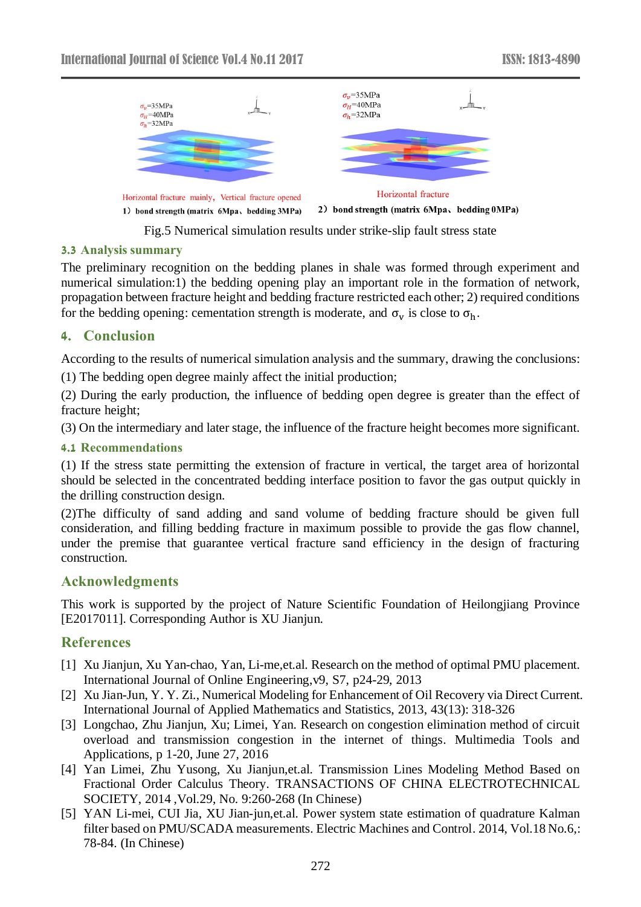

Fig.5 Numerical simulation results under strike-slip fault stress state

#### **3.3 Analysis summary**

The preliminary recognition on the bedding planes in shale was formed through experiment and numerical simulation:1) the bedding opening play an important role in the formation of network, propagation between fracture height and bedding fracture restricted each other; 2) required conditions for the bedding opening: cementation strength is moderate, and  $\sigma_v$  is close to  $\sigma_h$ .

### **4. Conclusion**

According to the results of numerical simulation analysis and the summary, drawing the conclusions:

(1) The bedding open degree mainly affect the initial production;

(2) During the early production, the influence of bedding open degree is greater than the effect of fracture height;

(3) On the intermediary and later stage, the influence of the fracture height becomes more significant.

#### **4.1 Recommendations**

(1) If the stress state permitting the extension of fracture in vertical, the target area of horizontal should be selected in the concentrated bedding interface position to favor the gas output quickly in the drilling construction design.

(2)The difficulty of sand adding and sand volume of bedding fracture should be given full consideration, and filling bedding fracture in maximum possible to provide the gas flow channel, under the premise that guarantee vertical fracture sand efficiency in the design of fracturing construction.

### **Acknowledgments**

This work is supported by the project of Nature Scientific Foundation of Heilongjiang Province [E2017011]. Corresponding Author is XU Jianjun.

# **References**

- [1] Xu Jianjun, Xu Yan-chao, [Yan, Li-me,](https://www.engineeringvillage.com/search/submit.url?CID=quickSearchCitationFormat&origin=results&category=authorsearch&searchtype=Quick&searchWord1=%7bYan%2C+Li-mei%7d§ion1=AU&database=1&yearselect=yearrange&sort=yr)et.al. Research on the method of optimal PMU placement. International Journal of Online Engineering,v9, S7, p24-29, 2013
- [2] Xu Jian-Jun, Y. Y. Zi., Numerical Modeling for Enhancement of Oil Recovery via Direct Current. International Journal of Applied Mathematics and Statistics, 2013, 43(13): 318-326
- [3] [Longchao, Zhu](https://www.engineeringvillage.com/search/submit.url?CID=quickSearchCitationFormat&origin=results&category=authorsearch&searchtype=Quick&searchWord1=%7bLongchao%2C+Zhu%7d§ion1=AU&database=1&yearselect=yearrange&sort=yr&referer=%2Fsearch%2Fresults%2Fquick.url) [Jianjun, Xu;](https://www.engineeringvillage.com/search/submit.url?CID=quickSearchCitationFormat&origin=results&category=authorsearch&searchtype=Quick&searchWord1=%7bJianjun%2C+Xu%7d§ion1=AU&database=1&yearselect=yearrange&sort=yr&referer=%2Fsearch%2Fresults%2Fquick.url) [Limei, Yan.](https://www.engineeringvillage.com/search/submit.url?CID=quickSearchCitationFormat&origin=results&category=authorsearch&searchtype=Quick&searchWord1=%7bLimei%2C+Yan%7d§ion1=AU&database=1&yearselect=yearrange&sort=yr&referer=%2Fsearch%2Fresults%2Fquick.url) Research on congestion elimination method of circuit [overload and transmission congestion in the internet of things.](https://www.engineeringvillage.com/search/doc/abstract.url?pageType=quickSearch&searchtype=Quick&SEARCHID=4589f899M8fc2M49d3Mb315M47fe1dd3db28&DOCINDEX=2&database=1&format=quickSearchAbstractFormat&dedupResultCount=&SEARCHID=4589f899M8fc2M49d3Mb315M47fe1dd3db28&referer=%2Fsearch%2Fresults%2Fquick.url) Multimedia Tools and Applications, p 1-20, June 27, 2016
- [4] Yan Limei, Zhu Yusong, Xu Jianjun,et.al. Transmission Lines Modeling Method Based on Fractional Order Calculus Theory. TRANSACTIONS OF CHINA ELECTROTECHNICAL SOCIETY, 2014 ,Vol.29, No. 9:260-268 (In Chinese)
- [5] YAN Li-mei, CUI Jia, XU Jian-jun,et.al. Power system state estimation of quadrature Kalman filter based on PMU/SCADA measurements. Electric Machines and Control. 2014, Vol.18 No.6,: 78-84. (In Chinese)